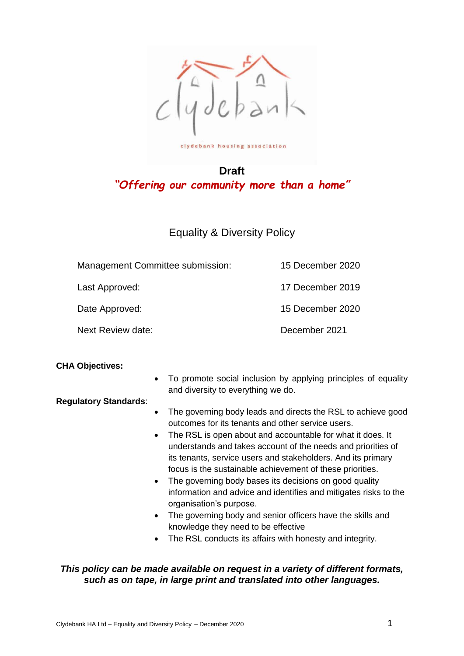

**Draft** *"Offering our community more than a home"*

# Equality & Diversity Policy

| Management Committee submission: | 15 December 2020 |
|----------------------------------|------------------|
| Last Approved:                   | 17 December 2019 |
| Date Approved:                   | 15 December 2020 |
| Next Review date:                | December 2021    |

### **CHA Objectives:**

 To promote social inclusion by applying principles of equality and diversity to everything we do.

### **Regulatory Standards**:

- The governing body leads and directs the RSL to achieve good outcomes for its tenants and other service users.
- The RSL is open about and accountable for what it does. It understands and takes account of the needs and priorities of its tenants, service users and stakeholders. And its primary focus is the sustainable achievement of these priorities.
- The governing body bases its decisions on good quality information and advice and identifies and mitigates risks to the organisation's purpose.
- The governing body and senior officers have the skills and knowledge they need to be effective
- The RSL conducts its affairs with honesty and integrity.

### *This policy can be made available on request in a variety of different formats, such as on tape, in large print and translated into other languages.*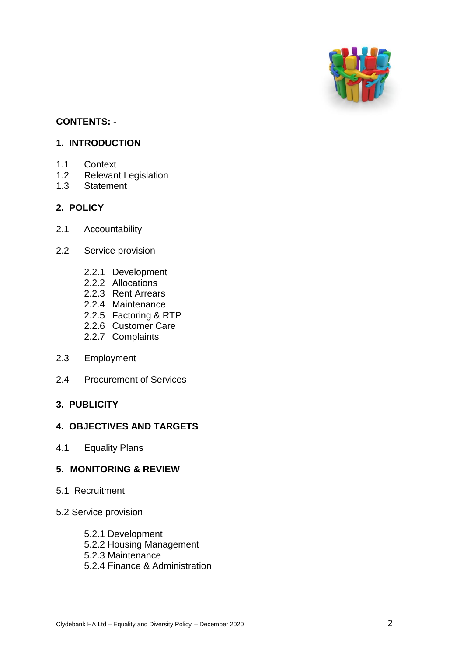

# **CONTENTS: -**

## **1. INTRODUCTION**

- 1.1 Context
- 1.2 Relevant Legislation
- 1.3 Statement

## **2. POLICY**

- 2.1 Accountability
- 2.2 Service provision
	- 2.2.1 Development
	- 2.2.2 Allocations
	- 2.2.3 Rent Arrears
	- 2.2.4 Maintenance
	- 2.2.5 Factoring & RTP
	- 2.2.6 Customer Care
	- 2.2.7 Complaints
- 2.3 Employment
- 2.4 Procurement of Services

### **3. PUBLICITY**

# **4. OBJECTIVES AND TARGETS**

4.1 Equality Plans

### **5. MONITORING & REVIEW**

- 5.1 Recruitment
- 5.2 Service provision
	- 5.2.1 Development
	- 5.2.2 Housing Management
	- 5.2.3 Maintenance
	- 5.2.4 Finance & Administration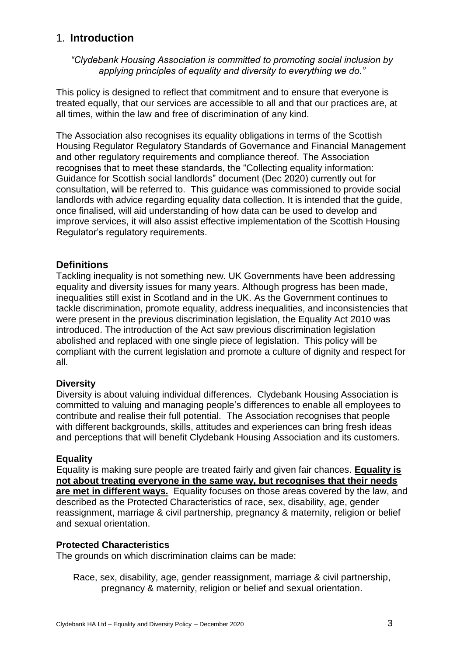# 1. **Introduction**

*"Clydebank Housing Association is committed to promoting social inclusion by applying principles of equality and diversity to everything we do."*

This policy is designed to reflect that commitment and to ensure that everyone is treated equally, that our services are accessible to all and that our practices are, at all times, within the law and free of discrimination of any kind.

The Association also recognises its equality obligations in terms of the Scottish Housing Regulator Regulatory Standards of Governance and Financial Management and other regulatory requirements and compliance thereof. The Association recognises that to meet these standards, the "Collecting equality information: Guidance for Scottish social landlords" document (Dec 2020) currently out for consultation, will be referred to. This guidance was commissioned to provide social landlords with advice regarding equality data collection. It is intended that the guide, once finalised, will aid understanding of how data can be used to develop and improve services, it will also assist effective implementation of the Scottish Housing Regulator's regulatory requirements.

# **Definitions**

Tackling inequality is not something new. UK Governments have been addressing equality and diversity issues for many years. Although progress has been made, inequalities still exist in Scotland and in the UK. As the Government continues to tackle discrimination, promote equality, address inequalities, and inconsistencies that were present in the previous discrimination legislation, the Equality Act 2010 was introduced. The introduction of the Act saw previous discrimination legislation abolished and replaced with one single piece of legislation. This policy will be compliant with the current legislation and promote a culture of dignity and respect for all.

### **Diversity**

Diversity is about valuing individual differences. Clydebank Housing Association is committed to valuing and managing people's differences to enable all employees to contribute and realise their full potential. The Association recognises that people with different backgrounds, skills, attitudes and experiences can bring fresh ideas and perceptions that will benefit Clydebank Housing Association and its customers.

### **Equality**

Equality is making sure people are treated fairly and given fair chances. **Equality is not about treating everyone in the same way, but recognises that their needs are met in different ways.** Equality focuses on those areas covered by the law, and described as the Protected Characteristics of race, sex, disability, age, gender reassignment, marriage & civil partnership, pregnancy & maternity, religion or belief and sexual orientation.

### **Protected Characteristics**

The grounds on which discrimination claims can be made:

Race, sex, disability, age, gender reassignment, marriage & civil partnership, pregnancy & maternity, religion or belief and sexual orientation.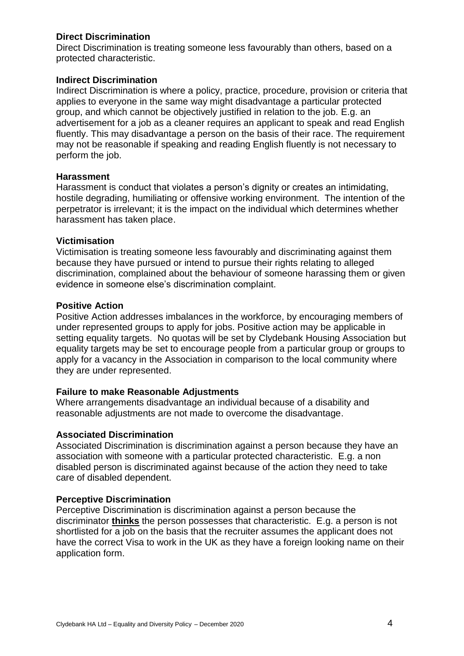## **Direct Discrimination**

Direct Discrimination is treating someone less favourably than others, based on a protected characteristic.

### **Indirect Discrimination**

Indirect Discrimination is where a policy, practice, procedure, provision or criteria that applies to everyone in the same way might disadvantage a particular protected group, and which cannot be objectively justified in relation to the job. E.g. an advertisement for a job as a cleaner requires an applicant to speak and read English fluently. This may disadvantage a person on the basis of their race. The requirement may not be reasonable if speaking and reading English fluently is not necessary to perform the job.

### **Harassment**

Harassment is conduct that violates a person's dignity or creates an intimidating, hostile degrading, humiliating or offensive working environment. The intention of the perpetrator is irrelevant; it is the impact on the individual which determines whether harassment has taken place.

### **Victimisation**

Victimisation is treating someone less favourably and discriminating against them because they have pursued or intend to pursue their rights relating to alleged discrimination, complained about the behaviour of someone harassing them or given evidence in someone else's discrimination complaint.

### **Positive Action**

Positive Action addresses imbalances in the workforce, by encouraging members of under represented groups to apply for jobs. Positive action may be applicable in setting equality targets. No quotas will be set by Clydebank Housing Association but equality targets may be set to encourage people from a particular group or groups to apply for a vacancy in the Association in comparison to the local community where they are under represented.

### **Failure to make Reasonable Adjustments**

Where arrangements disadvantage an individual because of a disability and reasonable adjustments are not made to overcome the disadvantage.

### **Associated Discrimination**

Associated Discrimination is discrimination against a person because they have an association with someone with a particular protected characteristic. E.g. a non disabled person is discriminated against because of the action they need to take care of disabled dependent.

### **Perceptive Discrimination**

Perceptive Discrimination is discrimination against a person because the discriminator **thinks** the person possesses that characteristic. E.g. a person is not shortlisted for a job on the basis that the recruiter assumes the applicant does not have the correct Visa to work in the UK as they have a foreign looking name on their application form.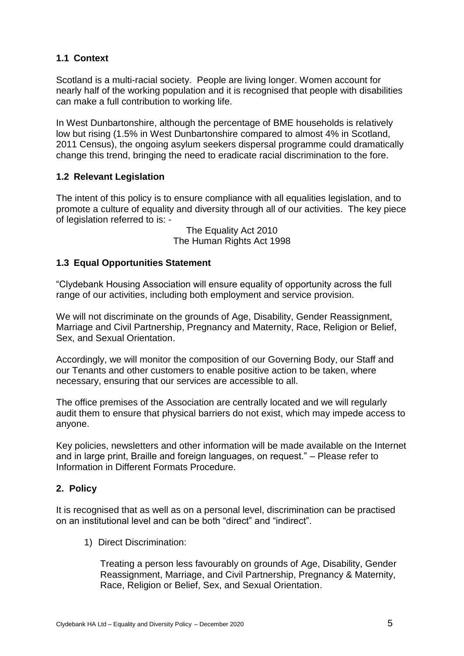# **1.1 Context**

Scotland is a multi-racial society. People are living longer. Women account for nearly half of the working population and it is recognised that people with disabilities can make a full contribution to working life.

In West Dunbartonshire, although the percentage of BME households is relatively low but rising (1.5% in West Dunbartonshire compared to almost 4% in Scotland, 2011 Census), the ongoing asylum seekers dispersal programme could dramatically change this trend, bringing the need to eradicate racial discrimination to the fore.

# **1.2 Relevant Legislation**

The intent of this policy is to ensure compliance with all equalities legislation, and to promote a culture of equality and diversity through all of our activities. The key piece of legislation referred to is: -

> The Equality Act 2010 The Human Rights Act 1998

# **1.3 Equal Opportunities Statement**

"Clydebank Housing Association will ensure equality of opportunity across the full range of our activities, including both employment and service provision.

We will not discriminate on the grounds of Age, Disability, Gender Reassignment, Marriage and Civil Partnership, Pregnancy and Maternity, Race, Religion or Belief, Sex, and Sexual Orientation.

Accordingly, we will monitor the composition of our Governing Body, our Staff and our Tenants and other customers to enable positive action to be taken, where necessary, ensuring that our services are accessible to all.

The office premises of the Association are centrally located and we will regularly audit them to ensure that physical barriers do not exist, which may impede access to anyone.

Key policies, newsletters and other information will be made available on the Internet and in large print, Braille and foreign languages, on request." – Please refer to Information in Different Formats Procedure.

# **2. Policy**

It is recognised that as well as on a personal level, discrimination can be practised on an institutional level and can be both "direct" and "indirect".

1) Direct Discrimination:

Treating a person less favourably on grounds of Age, Disability, Gender Reassignment, Marriage, and Civil Partnership, Pregnancy & Maternity, Race, Religion or Belief, Sex, and Sexual Orientation.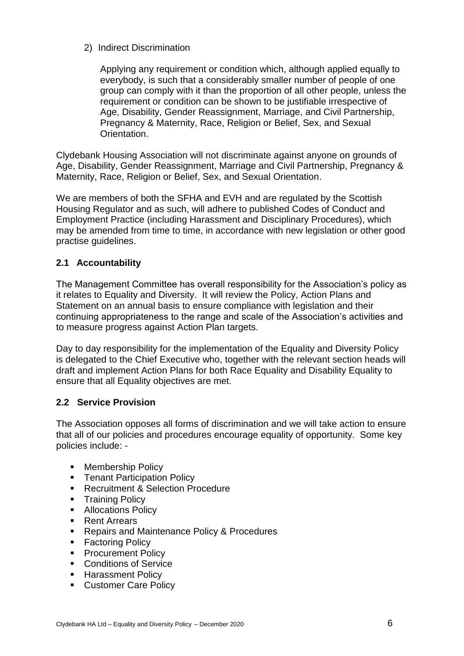2) Indirect Discrimination

Applying any requirement or condition which, although applied equally to everybody, is such that a considerably smaller number of people of one group can comply with it than the proportion of all other people, unless the requirement or condition can be shown to be justifiable irrespective of Age, Disability, Gender Reassignment, Marriage, and Civil Partnership, Pregnancy & Maternity, Race, Religion or Belief, Sex, and Sexual **Orientation** 

Clydebank Housing Association will not discriminate against anyone on grounds of Age, Disability, Gender Reassignment, Marriage and Civil Partnership, Pregnancy & Maternity, Race, Religion or Belief, Sex, and Sexual Orientation.

We are members of both the SFHA and EVH and are regulated by the Scottish Housing Regulator and as such, will adhere to published Codes of Conduct and Employment Practice (including Harassment and Disciplinary Procedures), which may be amended from time to time, in accordance with new legislation or other good practise guidelines.

# **2.1 Accountability**

The Management Committee has overall responsibility for the Association's policy as it relates to Equality and Diversity. It will review the Policy, Action Plans and Statement on an annual basis to ensure compliance with legislation and their continuing appropriateness to the range and scale of the Association's activities and to measure progress against Action Plan targets.

Day to day responsibility for the implementation of the Equality and Diversity Policy is delegated to the Chief Executive who, together with the relevant section heads will draft and implement Action Plans for both Race Equality and Disability Equality to ensure that all Equality objectives are met.

# **2.2 Service Provision**

The Association opposes all forms of discrimination and we will take action to ensure that all of our policies and procedures encourage equality of opportunity. Some key policies include: -

- **Membership Policy**
- **Tenant Participation Policy**
- **Recruitment & Selection Procedure**
- **Training Policy**
- **Allocations Policy**
- Rent Arrears
- **Repairs and Maintenance Policy & Procedures**
- **Factoring Policy**
- **Procurement Policy**
- **Conditions of Service**
- **Harassment Policy**
- **Customer Care Policy**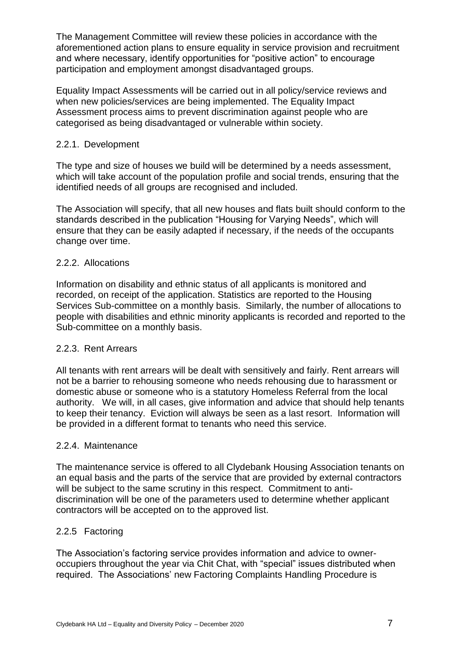The Management Committee will review these policies in accordance with the aforementioned action plans to ensure equality in service provision and recruitment and where necessary, identify opportunities for "positive action" to encourage participation and employment amongst disadvantaged groups.

Equality Impact Assessments will be carried out in all policy/service reviews and when new policies/services are being implemented. The Equality Impact Assessment process aims to prevent discrimination against people who are categorised as being disadvantaged or vulnerable within society.

### 2.2.1. Development

The type and size of houses we build will be determined by a needs assessment, which will take account of the population profile and social trends, ensuring that the identified needs of all groups are recognised and included.

The Association will specify, that all new houses and flats built should conform to the standards described in the publication "Housing for Varying Needs", which will ensure that they can be easily adapted if necessary, if the needs of the occupants change over time.

### 2.2.2. Allocations

Information on disability and ethnic status of all applicants is monitored and recorded, on receipt of the application. Statistics are reported to the Housing Services Sub-committee on a monthly basis. Similarly, the number of allocations to people with disabilities and ethnic minority applicants is recorded and reported to the Sub-committee on a monthly basis.

### 2.2.3. Rent Arrears

All tenants with rent arrears will be dealt with sensitively and fairly. Rent arrears will not be a barrier to rehousing someone who needs rehousing due to harassment or domestic abuse or someone who is a statutory Homeless Referral from the local authority. We will, in all cases, give information and advice that should help tenants to keep their tenancy. Eviction will always be seen as a last resort. Information will be provided in a different format to tenants who need this service.

### 2.2.4. Maintenance

The maintenance service is offered to all Clydebank Housing Association tenants on an equal basis and the parts of the service that are provided by external contractors will be subject to the same scrutiny in this respect. Commitment to antidiscrimination will be one of the parameters used to determine whether applicant contractors will be accepted on to the approved list.

### 2.2.5 Factoring

The Association's factoring service provides information and advice to owneroccupiers throughout the year via Chit Chat, with "special" issues distributed when required. The Associations' new Factoring Complaints Handling Procedure is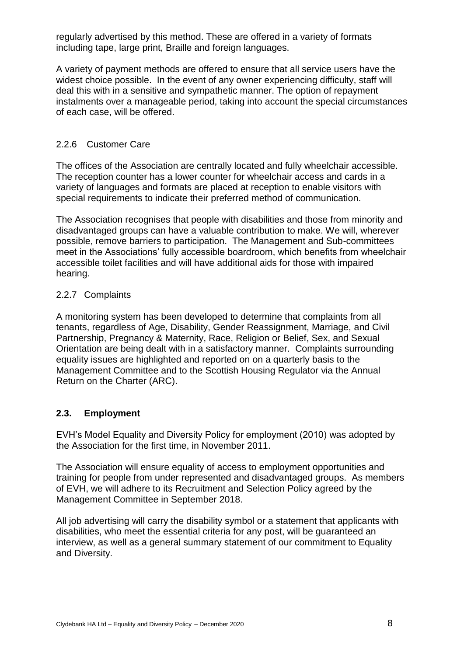regularly advertised by this method. These are offered in a variety of formats including tape, large print, Braille and foreign languages.

A variety of payment methods are offered to ensure that all service users have the widest choice possible. In the event of any owner experiencing difficulty, staff will deal this with in a sensitive and sympathetic manner. The option of repayment instalments over a manageable period, taking into account the special circumstances of each case, will be offered.

### 2.2.6 Customer Care

The offices of the Association are centrally located and fully wheelchair accessible. The reception counter has a lower counter for wheelchair access and cards in a variety of languages and formats are placed at reception to enable visitors with special requirements to indicate their preferred method of communication.

The Association recognises that people with disabilities and those from minority and disadvantaged groups can have a valuable contribution to make. We will, wherever possible, remove barriers to participation. The Management and Sub-committees meet in the Associations' fully accessible boardroom, which benefits from wheelchair accessible toilet facilities and will have additional aids for those with impaired hearing.

### 2.2.7 Complaints

A monitoring system has been developed to determine that complaints from all tenants, regardless of Age, Disability, Gender Reassignment, Marriage, and Civil Partnership, Pregnancy & Maternity, Race, Religion or Belief, Sex, and Sexual Orientation are being dealt with in a satisfactory manner. Complaints surrounding equality issues are highlighted and reported on on a quarterly basis to the Management Committee and to the Scottish Housing Regulator via the Annual Return on the Charter (ARC).

### **2.3. Employment**

EVH's Model Equality and Diversity Policy for employment (2010) was adopted by the Association for the first time, in November 2011.

The Association will ensure equality of access to employment opportunities and training for people from under represented and disadvantaged groups. As members of EVH, we will adhere to its Recruitment and Selection Policy agreed by the Management Committee in September 2018.

All job advertising will carry the disability symbol or a statement that applicants with disabilities, who meet the essential criteria for any post, will be guaranteed an interview, as well as a general summary statement of our commitment to Equality and Diversity.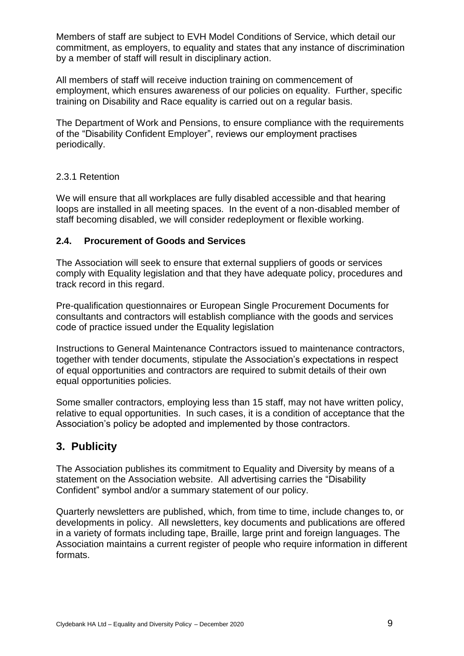Members of staff are subject to EVH Model Conditions of Service, which detail our commitment, as employers, to equality and states that any instance of discrimination by a member of staff will result in disciplinary action.

All members of staff will receive induction training on commencement of employment, which ensures awareness of our policies on equality. Further, specific training on Disability and Race equality is carried out on a regular basis.

The Department of Work and Pensions, to ensure compliance with the requirements of the "Disability Confident Employer", reviews our employment practises periodically.

### 2.3.1 Retention

We will ensure that all workplaces are fully disabled accessible and that hearing loops are installed in all meeting spaces. In the event of a non-disabled member of staff becoming disabled, we will consider redeployment or flexible working.

### **2.4. Procurement of Goods and Services**

The Association will seek to ensure that external suppliers of goods or services comply with Equality legislation and that they have adequate policy, procedures and track record in this regard.

Pre-qualification questionnaires or European Single Procurement Documents for consultants and contractors will establish compliance with the goods and services code of practice issued under the Equality legislation

Instructions to General Maintenance Contractors issued to maintenance contractors, together with tender documents, stipulate the Association's expectations in respect of equal opportunities and contractors are required to submit details of their own equal opportunities policies.

Some smaller contractors, employing less than 15 staff, may not have written policy, relative to equal opportunities. In such cases, it is a condition of acceptance that the Association's policy be adopted and implemented by those contractors.

# **3. Publicity**

The Association publishes its commitment to Equality and Diversity by means of a statement on the Association website. All advertising carries the "Disability Confident" symbol and/or a summary statement of our policy.

Quarterly newsletters are published, which, from time to time, include changes to, or developments in policy. All newsletters, key documents and publications are offered in a variety of formats including tape, Braille, large print and foreign languages. The Association maintains a current register of people who require information in different formats.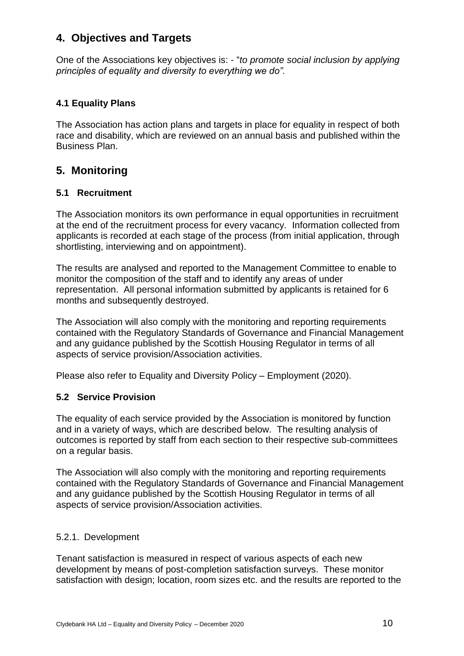# **4. Objectives and Targets**

One of the Associations key objectives is: - "*to promote social inclusion by applying principles of equality and diversity to everything we do".*

# **4.1 Equality Plans**

The Association has action plans and targets in place for equality in respect of both race and disability, which are reviewed on an annual basis and published within the Business Plan.

# **5. Monitoring**

## **5.1 Recruitment**

The Association monitors its own performance in equal opportunities in recruitment at the end of the recruitment process for every vacancy. Information collected from applicants is recorded at each stage of the process (from initial application, through shortlisting, interviewing and on appointment).

The results are analysed and reported to the Management Committee to enable to monitor the composition of the staff and to identify any areas of under representation. All personal information submitted by applicants is retained for 6 months and subsequently destroyed.

The Association will also comply with the monitoring and reporting requirements contained with the Regulatory Standards of Governance and Financial Management and any guidance published by the Scottish Housing Regulator in terms of all aspects of service provision/Association activities.

Please also refer to Equality and Diversity Policy – Employment (2020).

### **5.2 Service Provision**

The equality of each service provided by the Association is monitored by function and in a variety of ways, which are described below. The resulting analysis of outcomes is reported by staff from each section to their respective sub-committees on a regular basis.

The Association will also comply with the monitoring and reporting requirements contained with the Regulatory Standards of Governance and Financial Management and any guidance published by the Scottish Housing Regulator in terms of all aspects of service provision/Association activities.

### 5.2.1. Development

Tenant satisfaction is measured in respect of various aspects of each new development by means of post-completion satisfaction surveys. These monitor satisfaction with design; location, room sizes etc. and the results are reported to the